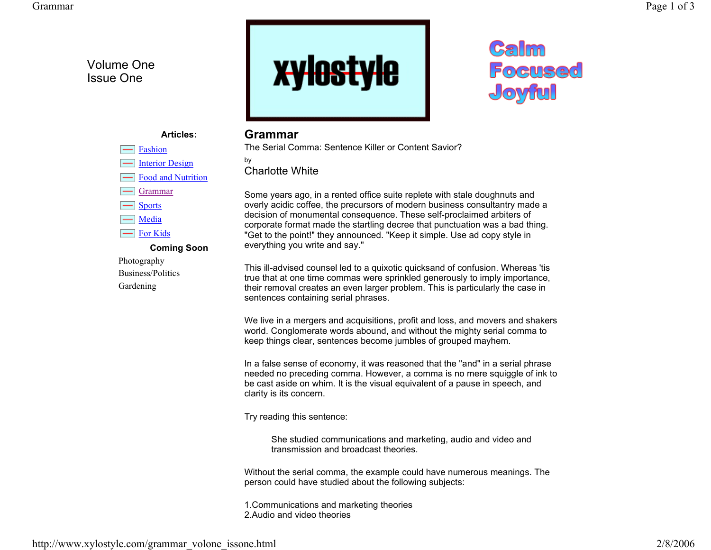## Volume One Issue One

**Articles:**

**Coming Soon**

Fashion

Grammar**Sports** Media For Kids

Photography Business/PoliticsGardening

<u>—</u> -<u>—</u> Interior Design Food and Nutrition



# Calm **Focused** Joyful

#### **Grammar**

The Serial Comma: Sentence Killer or Content Savior?

#### by Charlotte White

Some years ago, in a rented office suite replete with stale doughnuts and overly acidic coffee, the precursors of modern business consultantry made a decision of monumental consequence. These self-proclaimed arbiters of corporate format made the startling decree that punctuation was a bad thing. "Get to the point!" they announced. "Keep it simple. Use ad copy style in everything you write and say."

This ill-advised counsel led to a quixotic quicksand of confusion. Whereas 'tis true that at one time commas were sprinkled generously to imply importance, their removal creates an even larger problem. This is particularly the case in sentences containing serial phrases.

We live in a mergers and acquisitions, profit and loss, and movers and shakers world. Conglomerate words abound, and without the mighty serial comma to keep things clear, sentences become jumbles of grouped mayhem.

In a false sense of economy, it was reasoned that the "and" in a serial phrase needed no preceding comma. However, a comma is no mere squiggle of ink to be cast aside on whim. It is the visual equivalent of a pause in speech, and clarity is its concern.

Try reading this sentence:

She studied communications and marketing, audio and video and transmission and broadcast theories.

Without the serial comma, the example could have numerous meanings. The person could have studied about the following subjects:

1.Communications and marketing theories 2.Audio and video theories